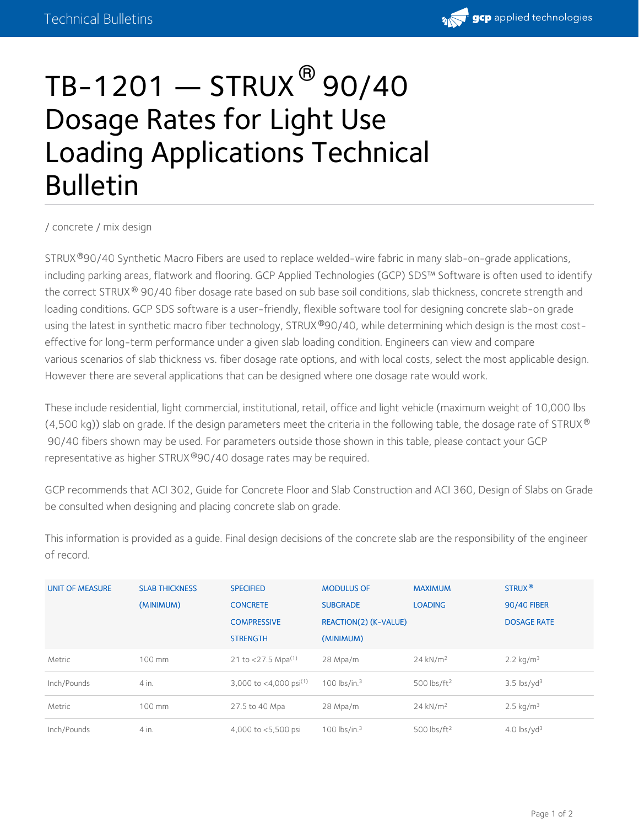

## $\mathsf{TB}\text{-}\mathsf{1201} \boldsymbol{-} \mathsf{STRUX}^{\mathsf{\textcircled{s}}}\mathsf{90/40}$ Dosage Rates for Light Use Loading Applications Technical Bulletin

/ [concrete](https://gcpat.com/concrete) / mix [design](https://gcpat.com/concrete/mix-design)

STRUX®90/40 Synthetic Macro Fibers are used to replace welded-wire fabric in many slab-on-grade applications, including parking areas, flatwork and flooring. GCP Applied Technologies (GCP) SDS™ Software is often used to identify the correct STRUX® 90/40 fiber dosage rate based on sub base soil conditions, slab thickness, concrete strength and loading conditions. GCP SDS software is a user-friendly, flexible software tool for designing concrete slab-on grade using the latest in synthetic macro fiber technology, STRUX®90/40, while determining which design is the most costeffective for long-term performance under a given slab loading condition. Engineers can view and compare various scenarios of slab thickness vs. fiber dosage rate options, and with local costs, select the most applicable design. However there are several applications that can be designed where one dosage rate would work.

These include residential, light commercial, institutional, retail, office and light vehicle (maximum weight of 10,000 lbs (4,500 kg)) slab on grade. If the design parameters meet the criteria in the following table, the dosage rate of STRUX  $^\circledR$ 90/40 fibers shown may be used. For parameters outside those shown in this table, please contact your GCP representative as higher STRUX®90/40 dosage rates may be required.

GCP recommends that ACI 302, Guide for Concrete Floor and Slab Construction and ACI 360, Design of Slabs on Grade be consulted when designing and placing concrete slab on grade.

This information is provided as a guide. Final design decisions of the concrete slab are the responsibility of the engineer of record.

| <b>UNIT OF MEASURE</b> | <b>SLAB THICKNESS</b> | <b>SPECIFIED</b>                   | <b>MODULUS OF</b>     | <b>MAXIMUM</b>          | STRUX <sup>®</sup>        |
|------------------------|-----------------------|------------------------------------|-----------------------|-------------------------|---------------------------|
|                        | (MINIMUM)             | <b>CONCRETE</b>                    | <b>SUBGRADE</b>       | <b>LOADING</b>          | <b>90/40 FIBER</b>        |
|                        |                       | <b>COMPRESSIVE</b>                 | REACTION(2) (K-VALUE) |                         | <b>DOSAGE RATE</b>        |
|                        |                       | <b>STRENGTH</b>                    | (MINIMUM)             |                         |                           |
| Metric                 | 100 mm                | 21 to <27.5 Mpa <sup>(1)</sup>     | 28 Mpa/m              | $24$ kN/m <sup>2</sup>  | $2.2 \text{ kg/m}^3$      |
| Inch/Pounds            | 4 in.                 | 3,000 to <4,000 psi <sup>(1)</sup> | 100 lbs/in. $3$       | 500 lbs/ft <sup>2</sup> | $3.5$ lbs/yd <sup>3</sup> |
| Metric                 | 100 mm                | 27.5 to 40 Mpa                     | 28 Mpa/m              | $24$ kN/m <sup>2</sup>  | $2.5 \text{ kg/m}^3$      |
| Inch/Pounds            | 4 in.                 | 4,000 to <5,500 psi                | 100 lbs/in. $3$       | 500 lbs/ft <sup>2</sup> | 4.0 $\frac{1}{3}$         |